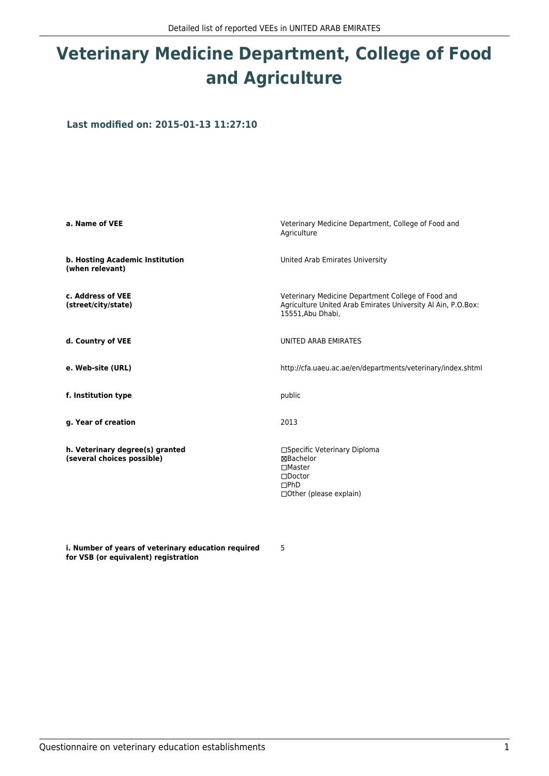## **Veterinary Medicine Department, College of Food and Agriculture**

**Last modified on: 2015-01-13 11:27:10**

| a. Name of VEE                                                | Veterinary Medicine Department, College of Food and<br>Agriculture                                                                      |  |
|---------------------------------------------------------------|-----------------------------------------------------------------------------------------------------------------------------------------|--|
| b. Hosting Academic Institution<br>(when relevant)            | United Arab Emirates University                                                                                                         |  |
| c. Address of VEE<br>(street/city/state)                      | Veterinary Medicine Department College of Food and<br>Agriculture United Arab Emirates University Al Ain, P.O.Box:<br>15551, Abu Dhabi, |  |
| d. Country of VEE                                             | UNITED ARAB EMIRATES                                                                                                                    |  |
| e. Web-site (URL)                                             | http://cfa.uaeu.ac.ae/en/departments/veterinary/index.shtml                                                                             |  |
| f. Institution type                                           | public                                                                                                                                  |  |
| g. Year of creation                                           | 2013                                                                                                                                    |  |
| h. Veterinary degree(s) granted<br>(several choices possible) | □Specific Veterinary Diploma<br>⊠Bachelor<br>$\Box$ Master<br>$\square$ Doctor<br>DPhD<br>$\Box$ Other (please explain)                 |  |

5

**i. Number of years of veterinary education required for VSB (or equivalent) registration**